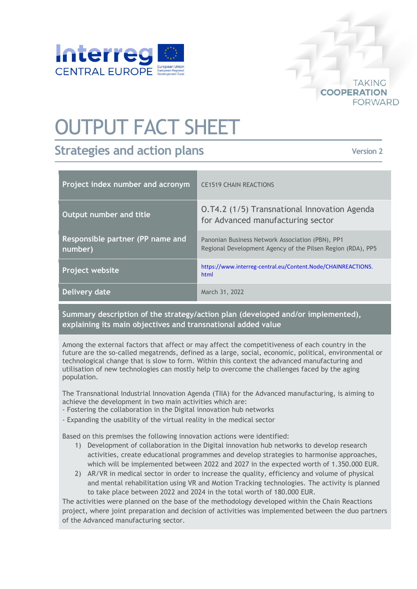

# OUTPUT FACT SHEET

# **Strategies and action plans**

**Version 2**

**TAKING** 

**FORWARD** 

**COOPERATION** 

| Project index number and acronym            | <b>CE1519 CHAIN REACTIONS</b>                                                                                   |
|---------------------------------------------|-----------------------------------------------------------------------------------------------------------------|
| Output number and title                     | O.T4.2 (1/5) Transnational Innovation Agenda<br>for Advanced manufacturing sector                               |
| Responsible partner (PP name and<br>number) | Panonian Business Network Association (PBN), PP1<br>Regional Development Agency of the Pilsen Region (RDA), PP5 |
| Project website                             | https://www.interreg-central.eu/Content.Node/CHAINREACTIONS.<br>html                                            |
| Delivery date                               | March 31, 2022                                                                                                  |

**Summary description of the strategy/action plan (developed and/or implemented), explaining its main objectives and transnational added value**

Among the external factors that affect or may affect the competitiveness of each country in the future are the so-called megatrends, defined as a large, social, economic, political, environmental or technological change that is slow to form. Within this context the advanced manufacturing and utilisation of new technologies can mostly help to overcome the challenges faced by the aging population.

The Transnational Industrial Innovation Agenda (TIIA) for the Advanced manufacturing, is aiming to achieve the development in two main activities which are:

- Fostering the collaboration in the Digital innovation hub networks
- Expanding the usability of the virtual reality in the medical sector

Based on this premises the following innovation actions were identified:

- 1) Development of collaboration in the Digital innovation hub networks to develop research activities, create educational programmes and develop strategies to harmonise approaches, which will be implemented between 2022 and 2027 in the expected worth of 1.350.000 EUR.
- 2) AR/VR in medical sector in order to increase the quality, efficiency and volume of physical and mental rehabilitation using VR and Motion Tracking technologies. The activity is planned to take place between 2022 and 2024 in the total worth of 180.000 EUR.

The activities were planned on the base of the methodology developed within the Chain Reactions project, where joint preparation and decision of activities was implemented between the duo partners of the Advanced manufacturing sector.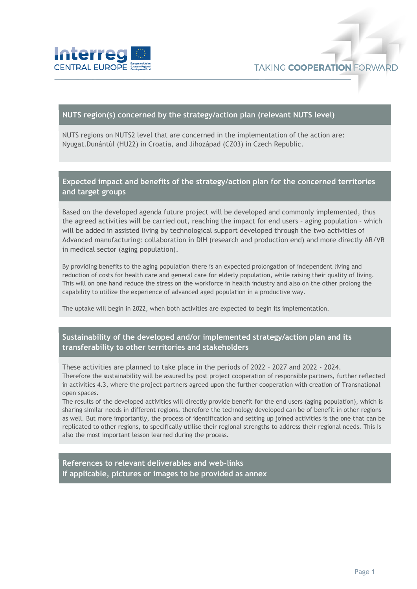

#### **NUTS region(s) concerned by the strategy/action plan (relevant NUTS level)**

NUTS regions on NUTS2 level that are concerned in the implementation of the action are: Nyugat.Dunántúl (HU22) in Croatia, and Jihozápad (CZ03) in Czech Republic.

## **Expected impact and benefits of the strategy/action plan for the concerned territories and target groups**

Based on the developed agenda future project will be developed and commonly implemented, thus the agreed activities will be carried out, reaching the impact for end users – aging population – which will be added in assisted living by technological support developed through the two activities of Advanced manufacturing: collaboration in DIH (research and production end) and more directly AR/VR in medical sector (aging population).

By providing benefits to the aging population there is an expected prolongation of independent living and reduction of costs for health care and general care for elderly population, while raising their quality of living. This will on one hand reduce the stress on the workforce in health industry and also on the other prolong the capability to utilize the experience of advanced aged population in a productive way.

The uptake will begin in 2022, when both activities are expected to begin its implementation.

### **Sustainability of the developed and/or implemented strategy/action plan and its transferability to other territories and stakeholders**

These activities are planned to take place in the periods of 2022 – 2027 and 2022 - 2024. Therefore the sustainability will be assured by post project cooperation of responsible partners, further reflected

in activities 4.3, where the project partners agreed upon the further cooperation with creation of Transnational open spaces.

The results of the developed activities will directly provide benefit for the end users (aging population), which is sharing similar needs in different regions, therefore the technology developed can be of benefit in other regions as well. But more importantly, the process of identification and setting up joined activities is the one that can be replicated to other regions, to specifically utilise their regional strengths to address their regional needs. This is also the most important lesson learned during the process.

**References to relevant deliverables and web-links If applicable, pictures or images to be provided as annex**